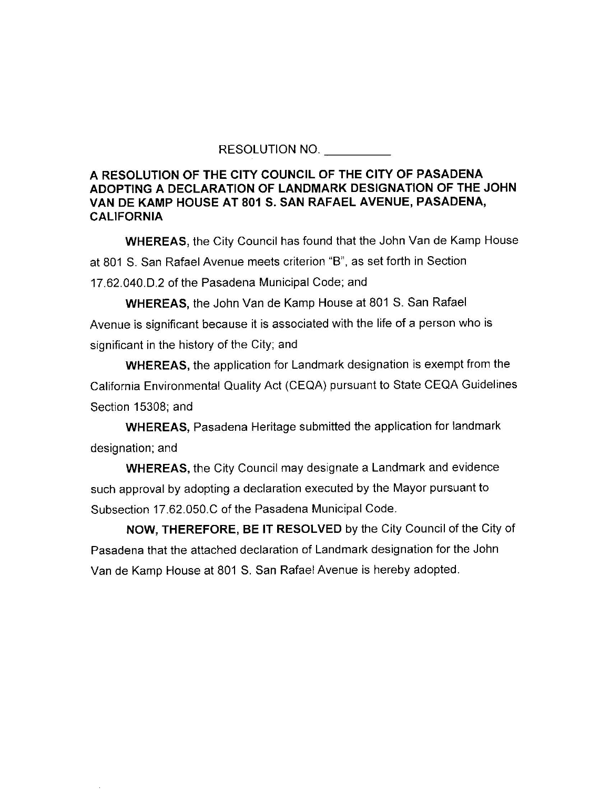RESOLUTION NO.

## **A RESOLUTION OF THE CITY COUNCIL OF THE CITY OF PASADENA ADOPTING A DECLARATION OF LANDMARK DESIGNATION OF THE JOHN VAN DE KAMP HOUSE AT 801 S. SAN RAFAEL AVENUE, PASADENA, CALIFORNIA**

**WHEREAS,** the City Council has found that the John Van de Kamp House at 801 S. San Rafael Avenue meets criterion "B'', as set forth in Section 17.62.040.D.2 of the Pasadena Municipal Code; and

**WHEREAS,** the John Van de Kamp House at 801 S. San Rafael Avenue is significant because it is associated with the life of a person who is significant in the history of the City; and

**WHEREAS,** the application for Landmark designation is exempt from the California Environmental Quality Act (CEQA) pursuant to State CEQA Guidelines Section 15308; and

**WHEREAS,** Pasadena Heritage submitted the application for landmark designation; and

**WHEREAS,** the City Council may designate a Landmark and evidence such approval by adopting a declaration executed by the Mayor pursuant to Subsection 17.62.050.C of the Pasadena Municipal Code.

**NOW, THEREFORE, BE IT RESOLVED** by the City Council of the City of Pasadena that the attached declaration of Landmark designation for the John Van de Kamp House at 801 S. San Rafael Avenue is hereby adopted.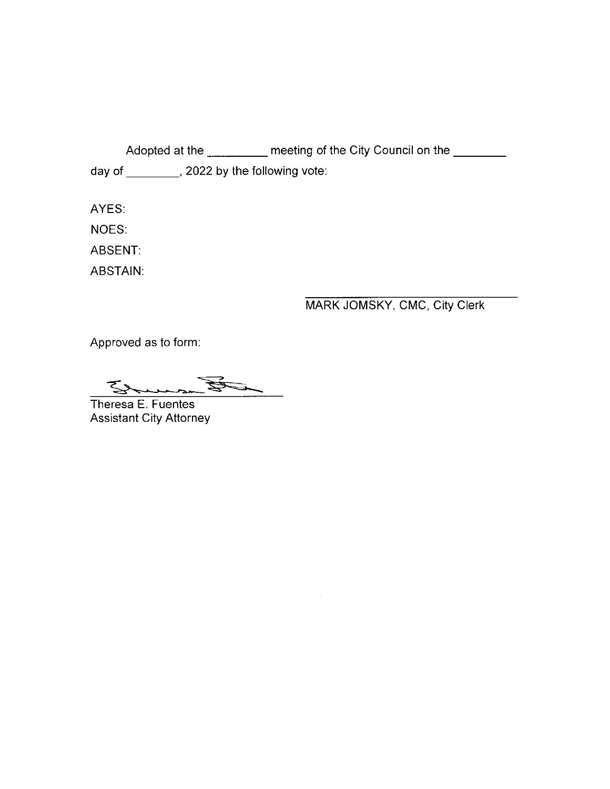Adopted at the \_\_\_\_\_\_\_\_\_ meeting of the City Council on the \_\_\_\_\_\_\_ day of \_\_\_\_\_\_\_\_\_, 2022 by the following vote:

AYES:

NOES:

ABSENT:

ABSTAIN:

## MARK JOMSKY, CMC, City Clerk

Approved as to form:

THE STATES Erman

Theresa E. Fuentes Assistant City Attorney